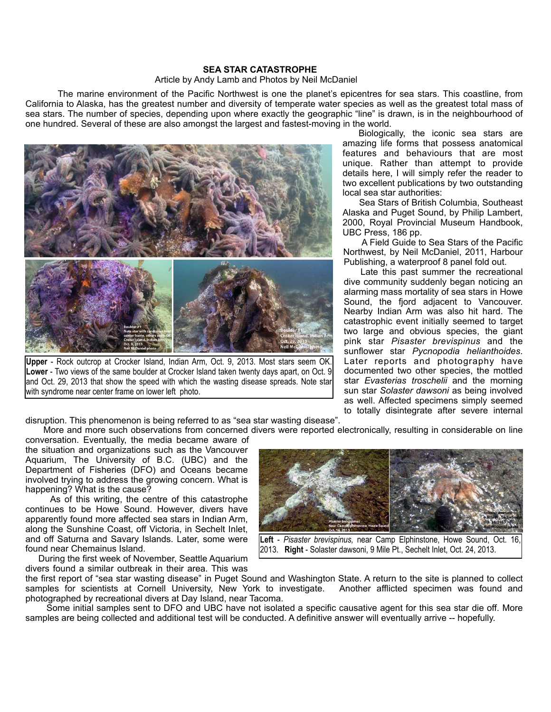## **SEA STAR CATASTROPHE**

## Article by Andy Lamb and Photos by Neil McDaniel

 The marine environment of the Pacific Northwest is one the planet's epicentres for sea stars. This coastline, from California to Alaska, has the greatest number and diversity of temperate water species as well as the greatest total mass of sea stars. The number of species, depending upon where exactly the geographic "line" is drawn, is in the neighbourhood of one hundred. Several of these are also amongst the largest and fastest-moving in the world.



**Upper** - Rock outcrop at Crocker Island, Indian Arm, Oct. 9, 2013. Most stars seem OK. **Lower** - Two views of the same boulder at Crocker Island taken twenty days apart, on Oct. 9 and Oct. 29, 2013 that show the speed with which the wasting disease spreads. Note star with syndrome near center frame on lower left photo.

 Biologically, the iconic sea stars are amazing life forms that possess anatomical features and behaviours that are most unique. Rather than attempt to provide details here, I will simply refer the reader to two excellent publications by two outstanding local sea star authorities:

 Sea Stars of British Columbia, Southeast Alaska and Puget Sound, by Philip Lambert, 2000, Royal Provincial Museum Handbook, UBC Press, 186 pp.

 A Field Guide to Sea Stars of the Pacific Northwest, by Neil McDaniel, 2011, Harbour Publishing, a waterproof 8 panel fold out.

 Late this past summer the recreational dive community suddenly began noticing an alarming mass mortality of sea stars in Howe Sound, the fjord adjacent to Vancouver. Nearby Indian Arm was also hit hard. The catastrophic event initially seemed to target two large and obvious species, the giant pink star *Pisaster brevispinus* and the sunflower star *Pycnopodia helianthoides*. Later reports and photography have documented two other species, the mottled star *Evasterias troschelii* and the morning sun star *Solaster dawsoni* as being involved as well. Affected specimens simply seemed to totally disintegrate after severe internal

disruption. This phenomenon is being referred to as "sea star wasting disease".

 More and more such observations from concerned divers were reported electronically, resulting in considerable on line conversation. Eventually, the media became aware of

the situation and organizations such as the Vancouver Aquarium, The University of B.C. (UBC) and the Department of Fisheries (DFO) and Oceans became involved trying to address the growing concern. What is happening? What is the cause?

 As of this writing, the centre of this catastrophe continues to be Howe Sound. However, divers have apparently found more affected sea stars in Indian Arm, along the Sunshine Coast, off Victoria, in Sechelt Inlet, and off Saturna and Savary Islands. Later, some were found near Chemainus Island.

 During the first week of November, Seattle Aquarium divers found a similar outbreak in their area. This was



**Left** - *Pisaster brevispinus*, near Camp Elphinstone, Howe Sound, Oct. 2013. **Right** - Solaster dawsoni, 9 Mile Pt., Sechelt Inlet, Oct. 24, 2013.

the first report of "sea star wasting disease" in Puget Sound and Washington State. A return to the site is planned to collect samples for scientists at Cornell University, New York to investigate. Another afflicted specimen was found and photographed by recreational divers at Day Island, near Tacoma.

 Some initial samples sent to DFO and UBC have not isolated a specific causative agent for this sea star die off. More samples are being collected and additional test will be conducted. A definitive answer will eventually arrive -- hopefully.